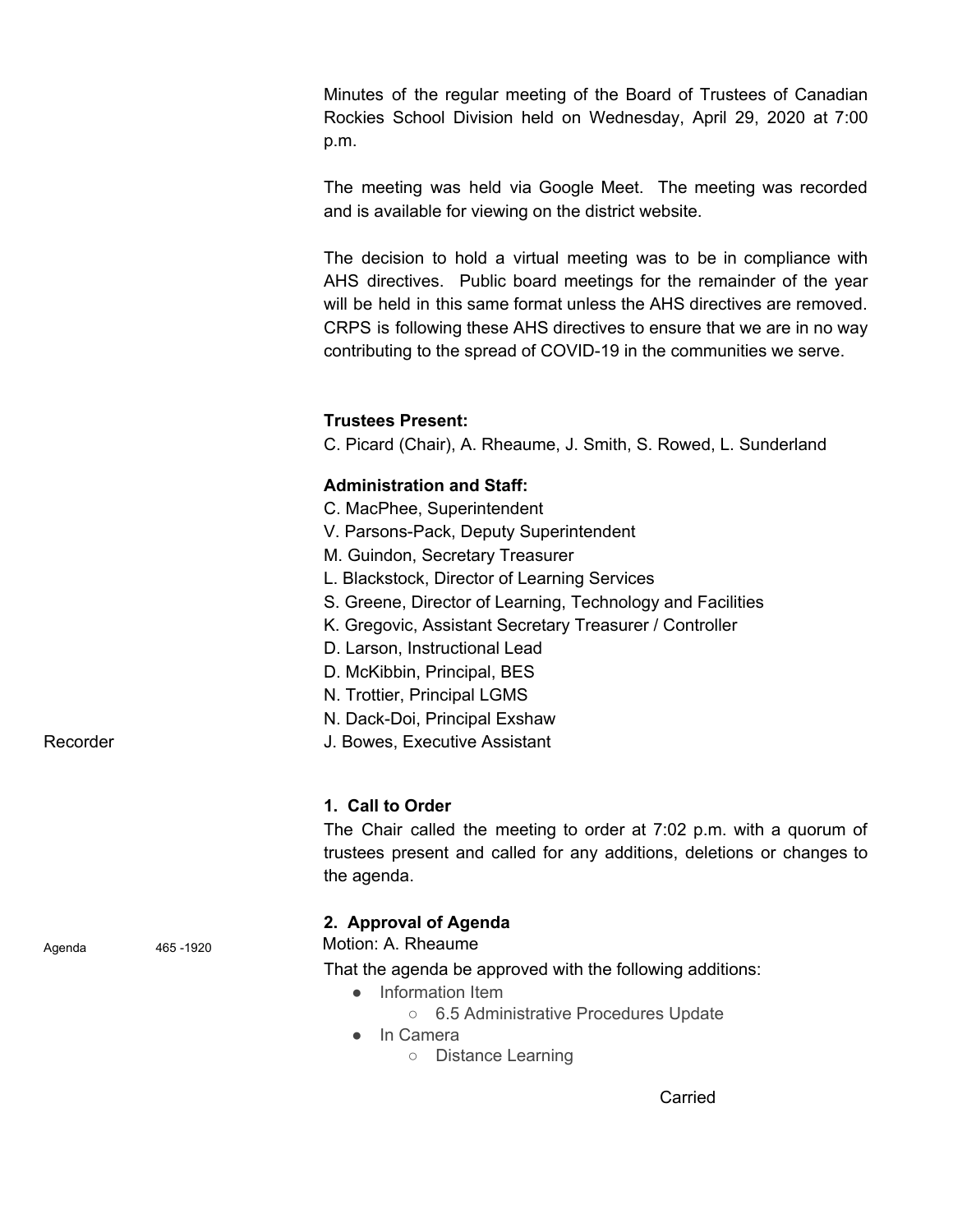Minutes of the regular meeting of the Board of Trustees of Canadian Rockies School Division held on Wednesday, April 29, 2020 at 7:00 p.m.

The meeting was held via Google Meet. The meeting was recorded and is available for viewing on the district website.

The decision to hold a virtual meeting was to be in compliance with AHS directives. Public board meetings for the remainder of the year will be held in this same format unless the AHS directives are removed. CRPS is following these AHS directives to ensure that we are in no way contributing to the spread of COVID-19 in the communities we serve.

### **Trustees Present:**

C. Picard (Chair), A. Rheaume, J. Smith, S. Rowed, L. Sunderland

#### **Administration and Staff:**

- C. MacPhee, Superintendent
- V. Parsons-Pack, Deputy Superintendent
- M. Guindon, Secretary Treasurer
- L. Blackstock, Director of Learning Services
- S. Greene, Director of Learning, Technology and Facilities
- K. Gregovic, Assistant Secretary Treasurer / Controller
- D. Larson, Instructional Lead
- D. McKibbin, Principal, BES
- N. Trottier, Principal LGMS
- N. Dack-Doi, Principal Exshaw
- Recorder **Network** J. Bowes, Executive Assistant

#### **1. Call to Order**

The Chair called the meeting to order at 7:02 p.m. with a quorum of trustees present and called for any additions, deletions or changes to the agenda.

#### **2. Approval of Agenda**

Agenda 465 -1920 Motion: A. Rheaume

That the agenda be approved with the following additions:

- Information Item
	- 6.5 Administrative Procedures Update
- In Camera
	- Distance Learning

Carried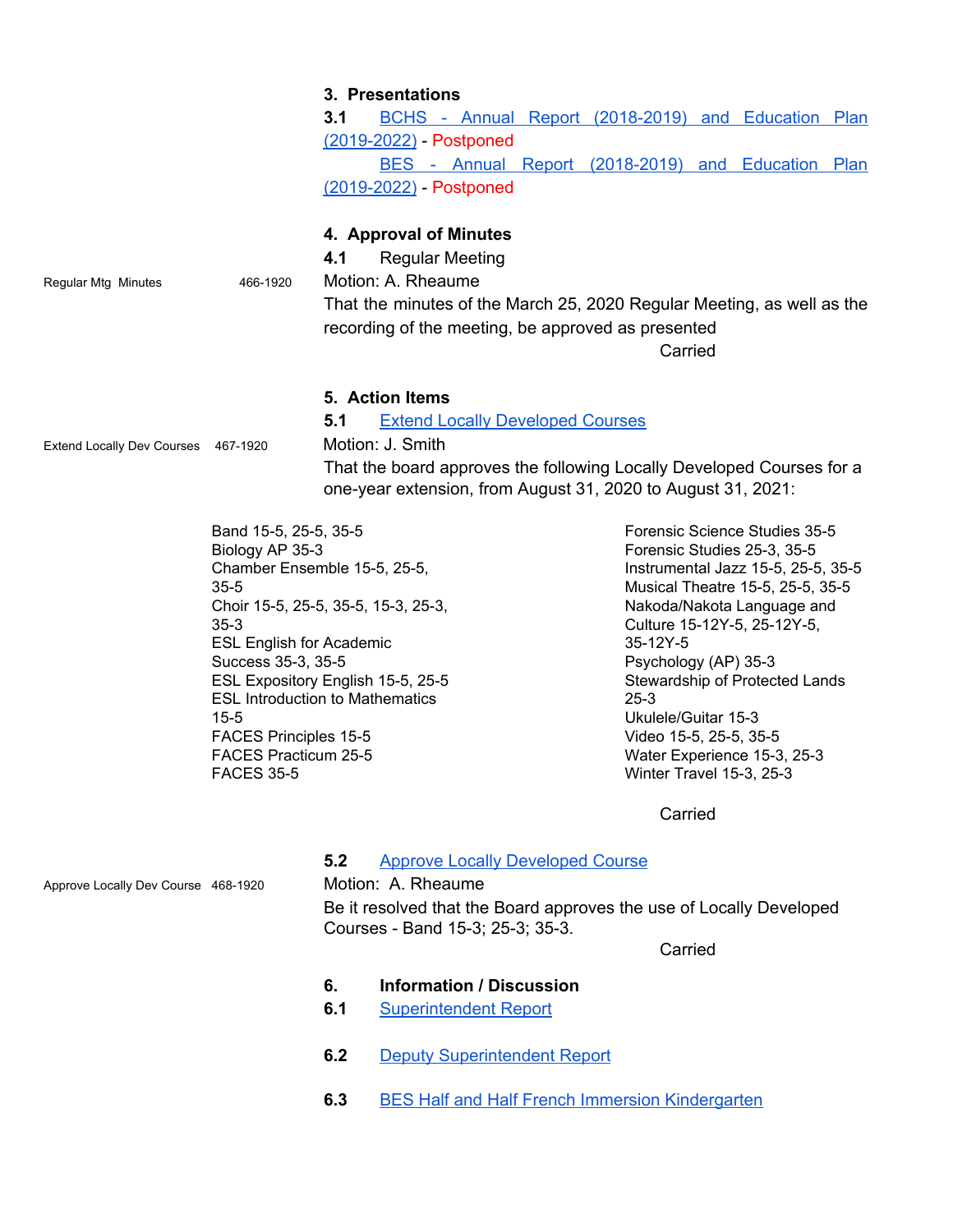|                                     |                                                                                                                                                                                                                                                                                                                                                                                 | 6.  | <b>Information / Discussion</b>                                                                                                                                                                                                                                                                                    |                                                                                                                                                                                                                                                                                                                                                                                                   |  |
|-------------------------------------|---------------------------------------------------------------------------------------------------------------------------------------------------------------------------------------------------------------------------------------------------------------------------------------------------------------------------------------------------------------------------------|-----|--------------------------------------------------------------------------------------------------------------------------------------------------------------------------------------------------------------------------------------------------------------------------------------------------------------------|---------------------------------------------------------------------------------------------------------------------------------------------------------------------------------------------------------------------------------------------------------------------------------------------------------------------------------------------------------------------------------------------------|--|
|                                     |                                                                                                                                                                                                                                                                                                                                                                                 |     | Be it resolved that the Board approves the use of Locally Developed<br>Courses - Band 15-3; 25-3; 35-3.                                                                                                                                                                                                            | Carried                                                                                                                                                                                                                                                                                                                                                                                           |  |
| Approve Locally Dev Course 468-1920 |                                                                                                                                                                                                                                                                                                                                                                                 | 5.2 | <b>Approve Locally Developed Course</b><br>Motion: A. Rheaume                                                                                                                                                                                                                                                      |                                                                                                                                                                                                                                                                                                                                                                                                   |  |
|                                     |                                                                                                                                                                                                                                                                                                                                                                                 |     |                                                                                                                                                                                                                                                                                                                    | Carried                                                                                                                                                                                                                                                                                                                                                                                           |  |
|                                     | Band 15-5, 25-5, 35-5<br>Biology AP 35-3<br>Chamber Ensemble 15-5, 25-5,<br>$35 - 5$<br>Choir 15-5, 25-5, 35-5, 15-3, 25-3,<br>$35 - 3$<br><b>ESL English for Academic</b><br>Success 35-3, 35-5<br>ESL Expository English 15-5, 25-5<br><b>ESL Introduction to Mathematics</b><br>$15 - 5$<br><b>FACES Principles 15-5</b><br><b>FACES Practicum 25-5</b><br><b>FACES 35-5</b> |     |                                                                                                                                                                                                                                                                                                                    | Forensic Science Studies 35-5<br>Forensic Studies 25-3, 35-5<br>Instrumental Jazz 15-5, 25-5, 35-5<br>Musical Theatre 15-5, 25-5, 35-5<br>Nakoda/Nakota Language and<br>Culture 15-12Y-5, 25-12Y-5,<br>35-12Y-5<br>Psychology (AP) 35-3<br>Stewardship of Protected Lands<br>$25 - 3$<br>Ukulele/Guitar 15-3<br>Video 15-5, 25-5, 35-5<br>Water Experience 15-3, 25-3<br>Winter Travel 15-3, 25-3 |  |
| <b>Extend Locally Dev Courses</b>   | 467-1920                                                                                                                                                                                                                                                                                                                                                                        | 5.1 | 5. Action Items<br><b>Extend Locally Developed Courses</b><br>Motion: J. Smith<br>That the board approves the following Locally Developed Courses for a<br>one-year extension, from August 31, 2020 to August 31, 2021:                                                                                            |                                                                                                                                                                                                                                                                                                                                                                                                   |  |
| Regular Mtg Minutes                 | 466-1920                                                                                                                                                                                                                                                                                                                                                                        | 4.1 | (2019-2022) - Postponed<br>BES - Annual Report (2018-2019) and Education Plan<br>(2019-2022) - Postponed<br>4. Approval of Minutes<br><b>Regular Meeting</b><br>Motion: A. Rheaume<br>That the minutes of the March 25, 2020 Regular Meeting, as well as the<br>recording of the meeting, be approved as presented | Carried                                                                                                                                                                                                                                                                                                                                                                                           |  |
|                                     |                                                                                                                                                                                                                                                                                                                                                                                 | 3.1 | 3. Presentations<br>BCHS - Annual Report (2018-2019) and Education Plan                                                                                                                                                                                                                                            |                                                                                                                                                                                                                                                                                                                                                                                                   |  |

- **6.1** [Superintendent Report](https://drive.google.com/file/d/1CExnu5KIad-rG7ED6KySQ7TKwHPqsmUp/view?usp=sharing)
- **6.2** [Deputy Superintendent Report](https://drive.google.com/file/d/1CJXgWsPgTpV9E6og9XrQjU4b9qS1gCBH/view?usp=sharing)
- **6.3** [BES Half and Half French Immersion Kindergarten](https://drive.google.com/file/d/1AqoPNacHZsgk3XCIE0ngji66SsxrwMR7/view?usp=sharing)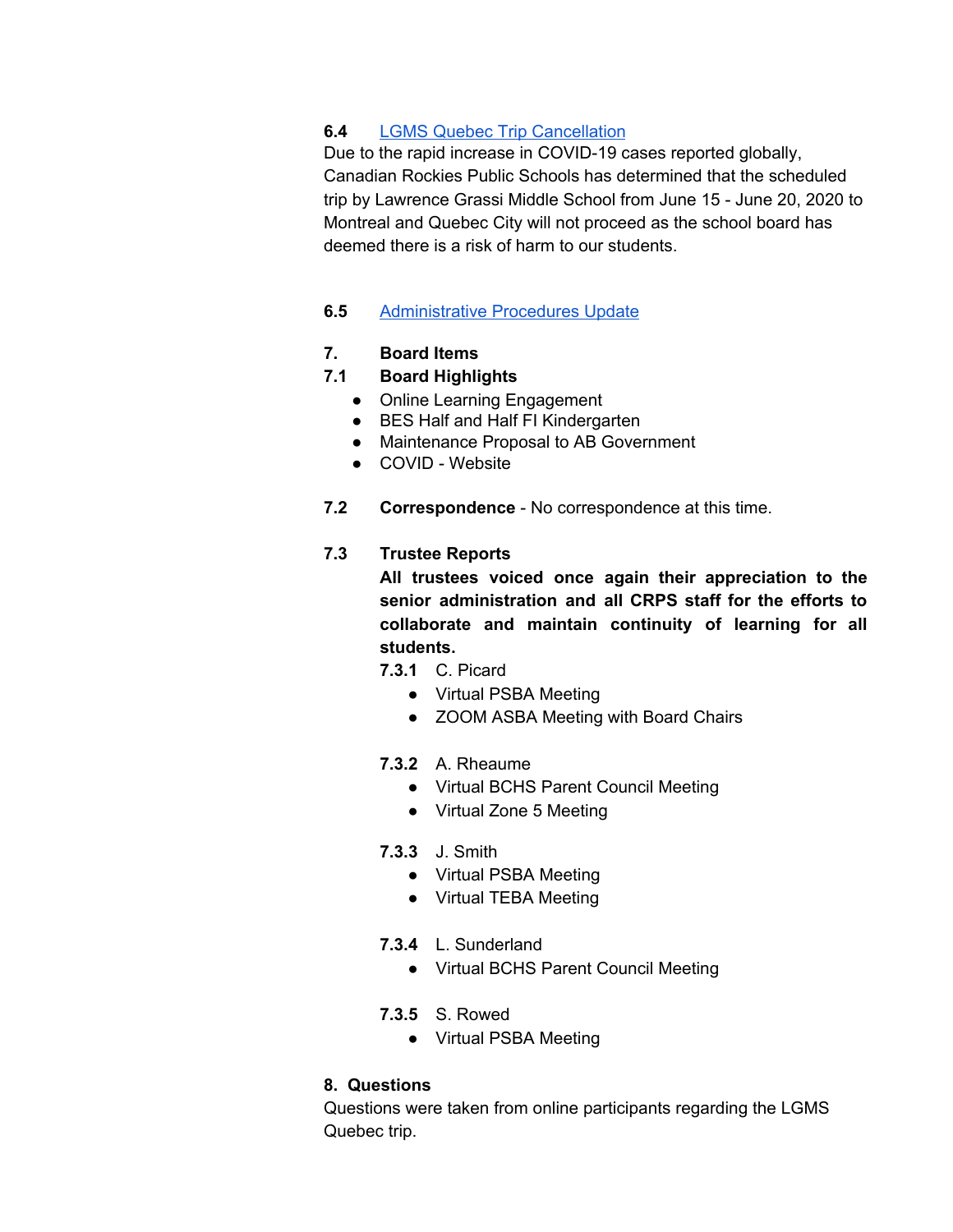# **6.4** [LGMS Quebec Trip Cancellation](https://drive.google.com/file/d/1AvbodXDza9232dUAjsLTYdOLVgOBzW_s/view?usp=sharing)

Due to the rapid increase in COVID-19 cases reported globally, Canadian Rockies Public Schools has determined that the scheduled trip by Lawrence Grassi Middle School from June 15 - June 20, 2020 to Montreal and Quebec City will not proceed as the school board has deemed there is a risk of harm to our students.

### **6.5** [Administrative Procedures Update](https://drive.google.com/file/d/1X3PpXkBNETgAXPKEdFNXG-X0vXxkJILT/view?usp=sharing)

### **7. Board Items**

# **7.1 Board Highlights**

- Online Learning Engagement
- BES Half and Half FI Kindergarten
- Maintenance Proposal to AB Government
- COVID Website
- **7.2 Correspondence** No correspondence at this time.

# **7.3 Trustee Reports**

**All trustees voiced once again their appreciation to the senior administration and all CRPS staff for the efforts to collaborate and maintain continuity of learning for all students.**

- **7.3.1** C. Picard
	- Virtual PSBA Meeting
	- ZOOM ASBA Meeting with Board Chairs
- **7.3.2** A. Rheaume
	- Virtual BCHS Parent Council Meeting
	- Virtual Zone 5 Meeting
- **7.3.3** J. Smith
	- Virtual PSBA Meeting
	- Virtual TEBA Meeting
- **7.3.4** L. Sunderland
	- Virtual BCHS Parent Council Meeting
- **7.3.5** S. Rowed
	- Virtual PSBA Meeting

# **8. Questions**

Questions were taken from online participants regarding the LGMS Quebec trip.